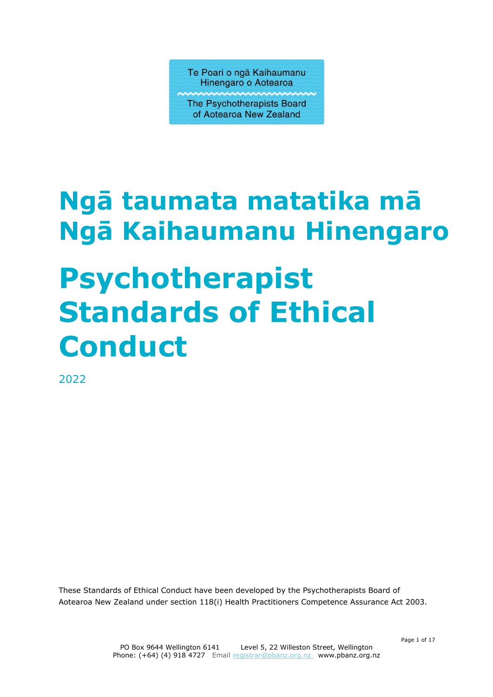Te Poari o ngā Kaihaumanu Hinengaro o Aotearoa

The Psychotherapists Board of Aotearoa New Zealand

# **Ngā taumata matatika mā Ngā Kaihaumanu Hinengaro Psychotherapist Standards of Ethical Conduct**

2022

These Standards of Ethical Conduct have been developed by the Psychotherapists Board of Aotearoa New Zealand under section 118(i) Health Practitioners Competence Assurance Act 2003.

Page 1 of 17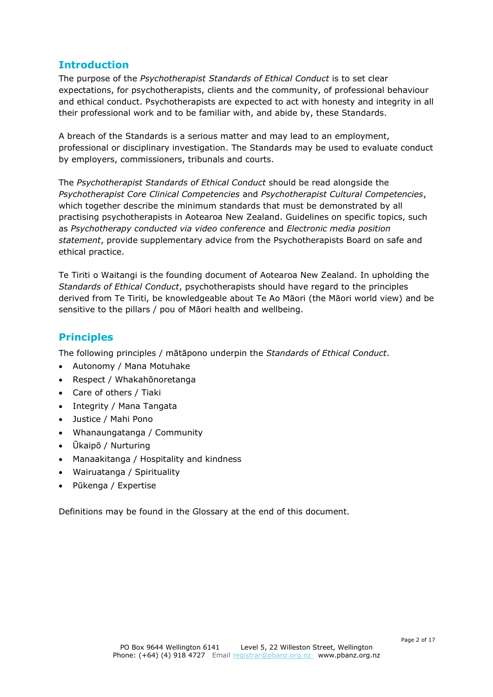## **Introduction**

The purpose of the *Psychotherapist Standards of Ethical Conduct* is to set clear expectations, for psychotherapists, clients and the community, of professional behaviour and ethical conduct. Psychotherapists are expected to act with honesty and integrity in all their professional work and to be familiar with, and abide by, these Standards.

A breach of the Standards is a serious matter and may lead to an employment, professional or disciplinary investigation. The Standards may be used to evaluate conduct by employers, commissioners, tribunals and courts.

The *Psychotherapist Standards of Ethical Conduct* should be read alongside the *Psychotherapist Core Clinical Competencies* and *Psychotherapist Cultural Competencies*, which together describe the minimum standards that must be demonstrated by all practising psychotherapists in Aotearoa New Zealand. Guidelines on specific topics, such as *Psychotherapy conducted via video conference* and *Electronic media position statement*, provide supplementary advice from the Psychotherapists Board on safe and ethical practice.

Te Tiriti o Waitangi is the founding document of Aotearoa New Zealand. In upholding the *Standards of Ethical Conduct*, psychotherapists should have regard to the principles derived from Te Tiriti, be knowledgeable about Te Ao Māori (the Māori world view) and be sensitive to the pillars / pou of Māori health and wellbeing.

## **Principles**

The following principles / mātāpono underpin the *Standards of Ethical Conduct*.

- Autonomy / Mana Motuhake
- Respect / Whakahōnoretanga
- Care of others / Tiaki
- Integrity / Mana Tangata
- Justice / Mahi Pono
- Whanaungatanga / Community
- Ūkaipō / Nurturing
- Manaakitanga / Hospitality and kindness
- Wairuatanga / Spirituality
- Pūkenga / Expertise

Definitions may be found in the Glossary at the end of this document.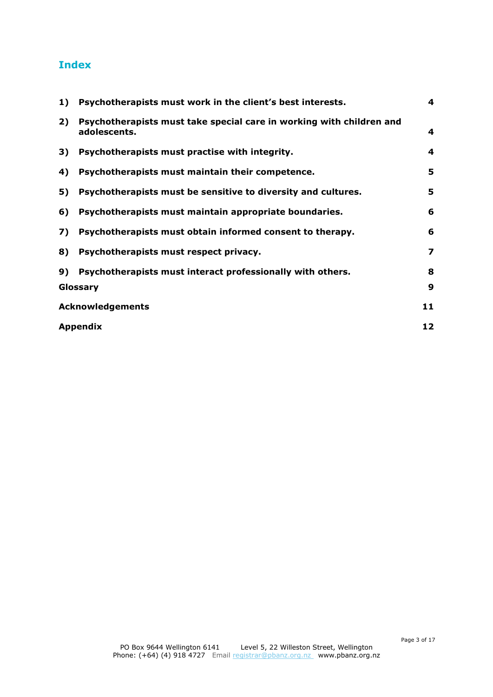# **Index**

| 1) | Psychotherapists must work in the client's best interests.                           | 4 |
|----|--------------------------------------------------------------------------------------|---|
| 2) | Psychotherapists must take special care in working with children and<br>adolescents. | 4 |
| 3) | Psychotherapists must practise with integrity.                                       | 4 |
| 4) | Psychotherapists must maintain their competence.                                     | 5 |
| 5) | Psychotherapists must be sensitive to diversity and cultures.                        | 5 |
| 6) | Psychotherapists must maintain appropriate boundaries.                               | 6 |
| 7) | Psychotherapists must obtain informed consent to therapy.                            | 6 |
| 8) | Psychotherapists must respect privacy.                                               | 7 |
| 9) | Psychotherapists must interact professionally with others.                           | 8 |
|    | Glossary                                                                             | 9 |
|    | <b>Acknowledgements</b>                                                              |   |
|    | <b>Appendix</b>                                                                      |   |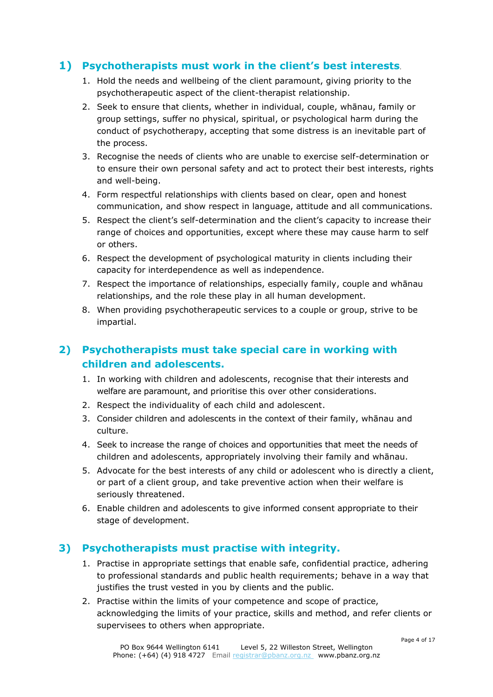## <span id="page-3-0"></span>**1) Psychotherapists must work in the client's best interests**.

- 1. Hold the needs and wellbeing of the client paramount, giving priority to the psychotherapeutic aspect of the client-therapist relationship.
- 2. Seek to ensure that clients, whether in individual, couple, whānau, family or group settings, suffer no physical, spiritual, or psychological harm during the conduct of psychotherapy, accepting that some distress is an inevitable part of the process.
- 3. Recognise the needs of clients who are unable to exercise self-determination or to ensure their own personal safety and act to protect their best interests, rights and well-being.
- 4. Form respectful relationships with clients based on clear, open and honest communication, and show respect in language, attitude and all communications.
- 5. Respect the client's self-determination and the client's capacity to increase their range of choices and opportunities, except where these may cause harm to self or others.
- 6. Respect the development of psychological maturity in clients including their capacity for interdependence as well as independence.
- 7. Respect the importance of relationships, especially family, couple and whānau relationships, and the role these play in all human development.
- 8. When providing psychotherapeutic services to a couple or group, strive to be impartial.

## <span id="page-3-1"></span>**2) Psychotherapists must take special care in working with children and adolescents.**

- 1. In working with children and adolescents, recognise that their interests and welfare are paramount, and prioritise this over other considerations.
- 2. Respect the individuality of each child and adolescent.
- 3. Consider children and adolescents in the context of their family, whānau and culture.
- 4. Seek to increase the range of choices and opportunities that meet the needs of children and adolescents, appropriately involving their family and whānau.
- 5. Advocate for the best interests of any child or adolescent who is directly a client, or part of a client group, and take preventive action when their welfare is seriously threatened.
- 6. Enable children and adolescents to give informed consent appropriate to their stage of development.

## <span id="page-3-2"></span>**3) Psychotherapists must practise with integrity.**

- 1. Practise in appropriate settings that enable safe, confidential practice, adhering to professional standards and public health requirements; behave in a way that justifies the trust vested in you by clients and the public.
- 2. Practise within the limits of your competence and scope of practice, acknowledging the limits of your practice, skills and method, and refer clients or supervisees to others when appropriate.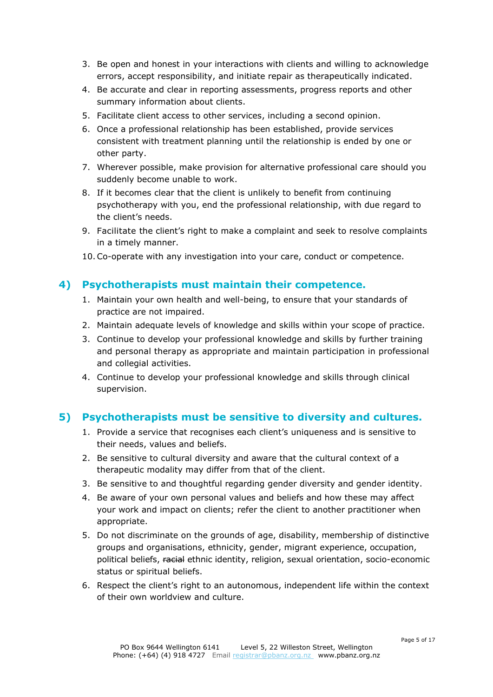- 3. Be open and honest in your interactions with clients and willing to acknowledge errors, accept responsibility, and initiate repair as therapeutically indicated.
- 4. Be accurate and clear in reporting assessments, progress reports and other summary information about clients.
- 5. Facilitate client access to other services, including a second opinion.
- 6. Once a professional relationship has been established, provide services consistent with treatment planning until the relationship is ended by one or other party.
- 7. Wherever possible, make provision for alternative professional care should you suddenly become unable to work.
- 8. If it becomes clear that the client is unlikely to benefit from continuing psychotherapy with you, end the professional relationship, with due regard to the client's needs.
- 9. Facilitate the client's right to make a complaint and seek to resolve complaints in a timely manner.
- 10.Co-operate with any investigation into your care, conduct or competence.

## <span id="page-4-0"></span>**4) Psychotherapists must maintain their competence.**

- 1. Maintain your own health and well-being, to ensure that your standards of practice are not impaired.
- 2. Maintain adequate levels of knowledge and skills within your scope of practice.
- 3. Continue to develop your professional knowledge and skills by further training and personal therapy as appropriate and maintain participation in professional and collegial activities.
- 4. Continue to develop your professional knowledge and skills through clinical supervision.

## <span id="page-4-1"></span>**5) Psychotherapists must be sensitive to diversity and cultures.**

- 1. Provide a service that recognises each client's uniqueness and is sensitive to their needs, values and beliefs.
- 2. Be sensitive to cultural diversity and aware that the cultural context of a therapeutic modality may differ from that of the client.
- 3. Be sensitive to and thoughtful regarding gender diversity and gender identity.
- 4. Be aware of your own personal values and beliefs and how these may affect your work and impact on clients; refer the client to another practitioner when appropriate.
- 5. Do not discriminate on the grounds of age, disability, membership of distinctive groups and organisations, ethnicity, gender, migrant experience, occupation, political beliefs, racial ethnic identity, religion, sexual orientation, socio-economic status or spiritual beliefs.
- 6. Respect the client's right to an autonomous, independent life within the context of their own worldview and culture.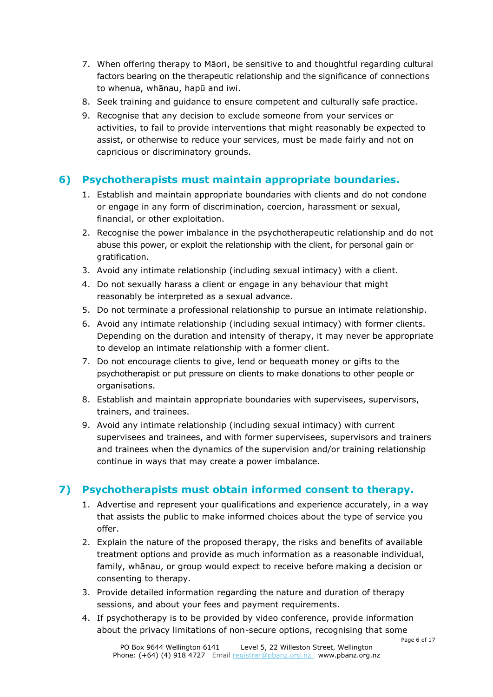- 7. When offering therapy to Māori, be sensitive to and thoughtful regarding cultural factors bearing on the therapeutic relationship and the significance of connections to whenua, whānau, hapū and iwi.
- 8. Seek training and guidance to ensure competent and culturally safe practice.
- 9. Recognise that any decision to exclude someone from your services or activities, to fail to provide interventions that might reasonably be expected to assist, or otherwise to reduce your services, must be made fairly and not on capricious or discriminatory grounds.

## <span id="page-5-0"></span>**6) Psychotherapists must maintain appropriate boundaries.**

- 1. Establish and maintain appropriate boundaries with clients and do not condone or engage in any form of discrimination, coercion, harassment or sexual, financial, or other exploitation.
- 2. Recognise the power imbalance in the psychotherapeutic relationship and do not abuse this power, or exploit the relationship with the client, for personal gain or gratification.
- 3. Avoid any intimate relationship (including sexual intimacy) with a client.
- 4. Do not sexually harass a client or engage in any behaviour that might reasonably be interpreted as a sexual advance.
- 5. Do not terminate a professional relationship to pursue an intimate relationship.
- 6. Avoid any intimate relationship (including sexual intimacy) with former clients. Depending on the duration and intensity of therapy, it may never be appropriate to develop an intimate relationship with a former client.
- 7. Do not encourage clients to give, lend or bequeath money or gifts to the psychotherapist or put pressure on clients to make donations to other people or organisations.
- 8. Establish and maintain appropriate boundaries with supervisees, supervisors, trainers, and trainees.
- 9. Avoid any intimate relationship (including sexual intimacy) with current supervisees and trainees, and with former supervisees, supervisors and trainers and trainees when the dynamics of the supervision and/or training relationship continue in ways that may create a power imbalance.

## <span id="page-5-1"></span>**7) Psychotherapists must obtain informed consent to therapy.**

- 1. Advertise and represent your qualifications and experience accurately, in a way that assists the public to make informed choices about the type of service you offer.
- 2. Explain the nature of the proposed therapy, the risks and benefits of available treatment options and provide as much information as a reasonable individual, family, whānau, or group would expect to receive before making a decision or consenting to therapy.
- 3. Provide detailed information regarding the nature and duration of therapy sessions, and about your fees and payment requirements.
- 4. If psychotherapy is to be provided by video conference, provide information about the privacy limitations of non-secure options, recognising that some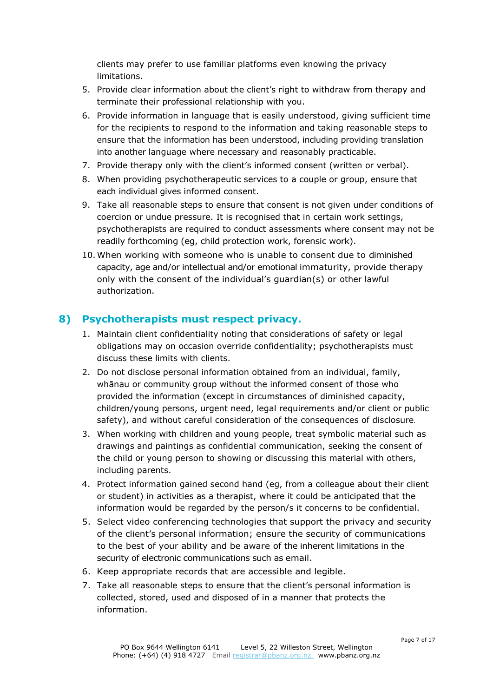clients may prefer to use familiar platforms even knowing the privacy limitations.

- 5. Provide clear information about the client's right to withdraw from therapy and terminate their professional relationship with you.
- 6. Provide information in language that is easily understood, giving sufficient time for the recipients to respond to the information and taking reasonable steps to ensure that the information has been understood, including providing translation into another language where necessary and reasonably practicable.
- 7. Provide therapy only with the client's informed consent (written or verbal).
- 8. When providing psychotherapeutic services to a couple or group, ensure that each individual gives informed consent.
- 9. Take all reasonable steps to ensure that consent is not given under conditions of coercion or undue pressure. It is recognised that in certain work settings, psychotherapists are required to conduct assessments where consent may not be readily forthcoming (eg, child protection work, forensic work).
- 10.When working with someone who is unable to consent due to diminished capacity, age and/or intellectual and/or emotional immaturity, provide therapy only with the consent of the individual's guardian(s) or other lawful authorization.

## <span id="page-6-0"></span>**8) Psychotherapists must respect privacy.**

- 1. Maintain client confidentiality noting that considerations of safety or legal obligations may on occasion override confidentiality; psychotherapists must discuss these limits with clients.
- 2. Do not disclose personal information obtained from an individual, family, whānau or community group without the informed consent of those who provided the information (except in circumstances of diminished capacity, children/young persons, urgent need, legal requirements and/or client or public safety), and without careful consideration of the consequences of disclosure.
- 3. When working with children and young people, treat symbolic material such as drawings and paintings as confidential communication, seeking the consent of the child or young person to showing or discussing this material with others, including parents.
- 4. Protect information gained second hand (eg, from a colleague about their client or student) in activities as a therapist, where it could be anticipated that the information would be regarded by the person/s it concerns to be confidential.
- 5. Select video conferencing technologies that support the privacy and security of the client's personal information; ensure the security of communications to the best of your ability and be aware of the inherent limitations in the security of electronic communications such as email.
- 6. Keep appropriate records that are accessible and legible.
- 7. Take all reasonable steps to ensure that the client's personal information is collected, stored, used and disposed of in a manner that protects the information.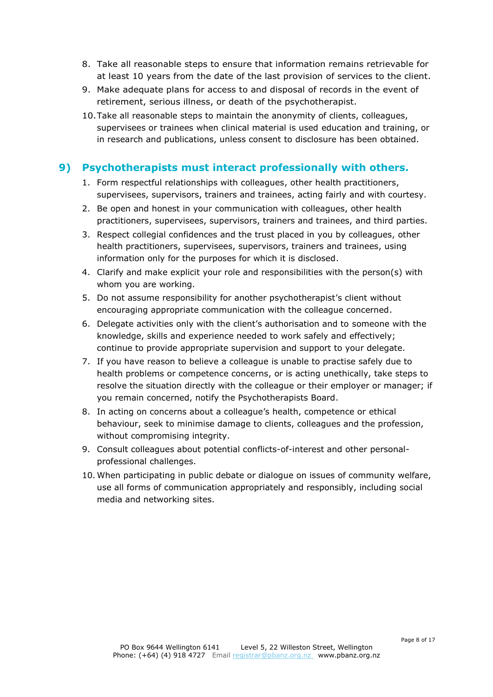- 8. Take all reasonable steps to ensure that information remains retrievable for at least 10 years from the date of the last provision of services to the client.
- 9. Make adequate plans for access to and disposal of records in the event of retirement, serious illness, or death of the psychotherapist.
- 10.Take all reasonable steps to maintain the anonymity of clients, colleagues, supervisees or trainees when clinical material is used education and training, or in research and publications, unless consent to disclosure has been obtained.

## <span id="page-7-0"></span>**9) Psychotherapists must interact professionally with others.**

- 1. Form respectful relationships with colleagues, other health practitioners, supervisees, supervisors, trainers and trainees, acting fairly and with courtesy.
- 2. Be open and honest in your communication with colleagues, other health practitioners, supervisees, supervisors, trainers and trainees, and third parties.
- 3. Respect collegial confidences and the trust placed in you by colleagues, other health practitioners, supervisees, supervisors, trainers and trainees, using information only for the purposes for which it is disclosed.
- 4. Clarify and make explicit your role and responsibilities with the person(s) with whom you are working.
- 5. Do not assume responsibility for another psychotherapist's client without encouraging appropriate communication with the colleague concerned.
- 6. Delegate activities only with the client's authorisation and to someone with the knowledge, skills and experience needed to work safely and effectively; continue to provide appropriate supervision and support to your delegate.
- 7. If you have reason to believe a colleague is unable to practise safely due to health problems or competence concerns, or is acting unethically, take steps to resolve the situation directly with the colleague or their employer or manager; if you remain concerned, notify the Psychotherapists Board.
- 8. In acting on concerns about a colleague's health, competence or ethical behaviour, seek to minimise damage to clients, colleagues and the profession, without compromising integrity.
- 9. Consult colleagues about potential conflicts-of-interest and other personalprofessional challenges.
- 10. When participating in public debate or dialogue on issues of community welfare, use all forms of communication appropriately and responsibly, including social media and networking sites.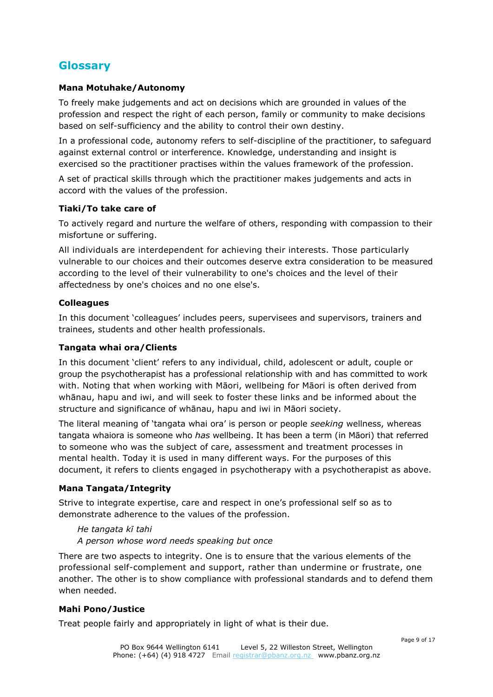# <span id="page-8-0"></span>**Glossary**

#### **Mana Motuhake/Autonomy**

To freely make judgements and act on decisions which are grounded in values of the profession and respect the right of each person, family or community to make decisions based on self-sufficiency and the ability to control their own destiny.

In a professional code, autonomy refers to self-discipline of the practitioner, to safeguard against external control or interference. Knowledge, understanding and insight is exercised so the practitioner practises within the values framework of the profession.

A set of practical skills through which the practitioner makes judgements and acts in accord with the values of the profession.

#### **Tiaki/To take care of**

To actively regard and nurture the welfare of others, responding with compassion to their misfortune or suffering.

All individuals are interdependent for achieving their interests. Those particularly vulnerable to our choices and their outcomes deserve extra consideration to be measured according to the level of their vulnerability to one's choices and the level of their affectedness by one's choices and no one else's.

#### **Colleagues**

In this document 'colleagues' includes peers, supervisees and supervisors, trainers and trainees, students and other health professionals.

#### **Tangata whai ora/Clients**

In this document 'client' refers to any individual, child, adolescent or adult, couple or group the psychotherapist has a professional relationship with and has committed to work with. Noting that when working with Māori, wellbeing for Māori is often derived from whānau, hapu and iwi, and will seek to foster these links and be informed about the structure and significance of whānau, hapu and iwi in Māori society.

The literal meaning of 'tangata whai ora' is person or people *seeking* wellness, whereas tangata whaiora is someone who *has* wellbeing. It has been a term (in Māori) that referred to someone who was the subject of care, assessment and treatment processes in mental health. Today it is used in many different ways. For the purposes of this document, it refers to clients engaged in psychotherapy with a psychotherapist as above.

#### **Mana Tangata/Integrity**

Strive to integrate expertise, care and respect in one's professional self so as to demonstrate adherence to the values of the profession.

#### *He tangata kī tahi A person whose word needs speaking but once*

There are two aspects to integrity. One is to ensure that the various elements of the professional self-complement and support, rather than undermine or frustrate, one another. The other is to show compliance with professional standards and to defend them when needed.

#### **Mahi Pono/Justice**

Treat people fairly and appropriately in light of what is their due.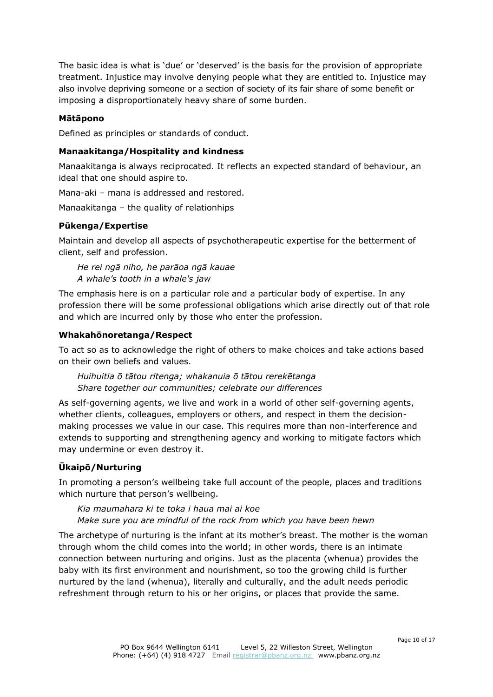The basic idea is what is 'due' or 'deserved' is the basis for the provision of appropriate treatment. Injustice may involve denying people what they are entitled to. Injustice may also involve depriving someone or a section of society of its fair share of some benefit or imposing a disproportionately heavy share of some burden.

#### **Mātāpono**

Defined as principles or standards of conduct.

#### **Manaakitanga/Hospitality and kindness**

Manaakitanga is always reciprocated. It reflects an expected standard of behaviour, an ideal that one should aspire to.

Mana-aki – mana is addressed and restored.

Manaakitanga – the quality of relationhips

#### **Pūkenga/Expertise**

Maintain and develop all aspects of psychotherapeutic expertise for the betterment of client, self and profession.

*He rei ngā niho, he parāoa ngā kauae A whale's tooth in a whale's jaw*

The emphasis here is on a particular role and a particular body of expertise. In any profession there will be some professional obligations which arise directly out of that role and which are incurred only by those who enter the profession.

#### **Whakahōnoretanga/Respect**

To act so as to acknowledge the right of others to make choices and take actions based on their own beliefs and values.

*Huihuitia ō tātou ritenga; whakanuia ō tātou rerekētanga Share together our communities; celebrate our differences*

As self-governing agents, we live and work in a world of other self-governing agents, whether clients, colleagues, employers or others, and respect in them the decisionmaking processes we value in our case. This requires more than non-interference and extends to supporting and strengthening agency and working to mitigate factors which may undermine or even destroy it.

## **Ūkaipō/Nurturing**

In promoting a person's wellbeing take full account of the people, places and traditions which nurture that person's wellbeing.

#### *Kia maumahara ki te toka i haua mai ai koe*

*Make sure you are mindful of the rock from which you have been hewn*

The archetype of nurturing is the infant at its mother's breast. The mother is the woman through whom the child comes into the world; in other words, there is an intimate connection between nurturing and origins. Just as the placenta (whenua) provides the baby with its first environment and nourishment, so too the growing child is further nurtured by the land (whenua), literally and culturally, and the adult needs periodic refreshment through return to his or her origins, or places that provide the same.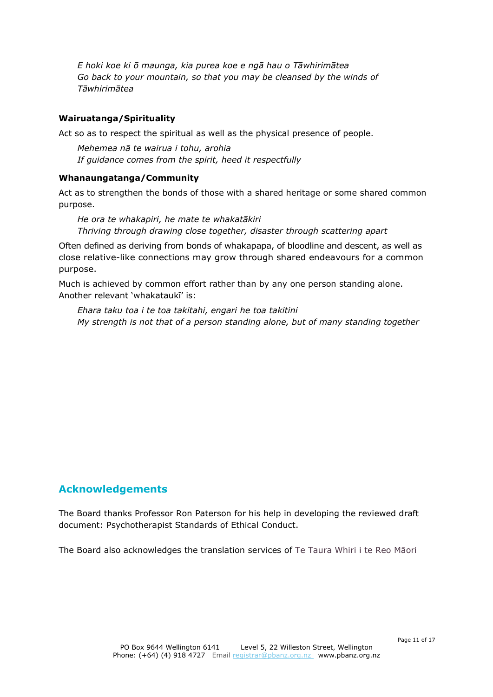*E hoki koe ki ō maunga, kia purea koe e ngā hau o Tāwhirimātea Go back to your mountain, so that you may be cleansed by the winds of Tāwhirimātea*

#### **Wairuatanga/Spirituality**

Act so as to respect the spiritual as well as the physical presence of people.

*Mehemea nā te wairua i tohu, arohia If guidance comes from the spirit, heed it respectfully*

#### **Whanaungatanga/Community**

Act as to strengthen the bonds of those with a shared heritage or some shared common purpose.

*He ora te whakapiri, he mate te whakatākiri Thriving through drawing close together, disaster through scattering apart*

Often defined as deriving from bonds of whakapapa, of bloodline and descent, as well as close relative-like connections may grow through shared endeavours for a common purpose.

Much is achieved by common effort rather than by any one person standing alone. Another relevant 'whakataukī' is:

*Ehara taku toa i te toa takitahi, engari he toa takitini My strength is not that of a person standing alone, but of many standing together*

## <span id="page-10-0"></span>**Acknowledgements**

The Board thanks Professor Ron Paterson for his help in developing the reviewed draft document: Psychotherapist Standards of Ethical Conduct.

The Board also acknowledges the translation services of Te Taura Whiri i te Reo Māori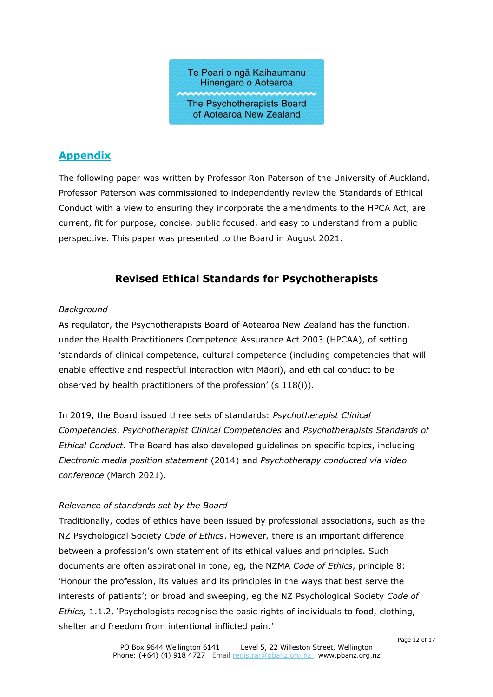

## <span id="page-11-0"></span>**Appendix**

The following paper was written by Professor Ron Paterson of the University of Auckland. Professor Paterson was commissioned to independently review the Standards of Ethical Conduct with a view to ensuring they incorporate the amendments to the HPCA Act, are current, fit for purpose, concise, public focused, and easy to understand from a public perspective. This paper was presented to the Board in August 2021.

## **Revised Ethical Standards for Psychotherapists**

#### *Background*

As regulator, the Psychotherapists Board of Aotearoa New Zealand has the function, under the Health Practitioners Competence Assurance Act 2003 (HPCAA), of setting 'standards of clinical competence, cultural competence (including competencies that will enable effective and respectful interaction with Māori), and ethical conduct to be observed by health practitioners of the profession' (s 118(i)).

In 2019, the Board issued three sets of standards: *Psychotherapist Clinical Competencies*, *Psychotherapist Clinical Competencies* and *Psychotherapists Standards of Ethical Conduct*. The Board has also developed guidelines on specific topics, including *Electronic media position statement* (2014) and *Psychotherapy conducted via video conference* (March 2021).

#### *Relevance of standards set by the Board*

Traditionally, codes of ethics have been issued by professional associations, such as the NZ Psychological Society *Code of Ethics*. However, there is an important difference between a profession's own statement of its ethical values and principles. Such documents are often aspirational in tone, eg, the NZMA *Code of Ethics*, principle 8: 'Honour the profession, its values and its principles in the ways that best serve the interests of patients'; or broad and sweeping, eg the NZ Psychological Society *Code of Ethics,* 1.1.2, 'Psychologists recognise the basic rights of individuals to food, clothing, shelter and freedom from intentional inflicted pain.'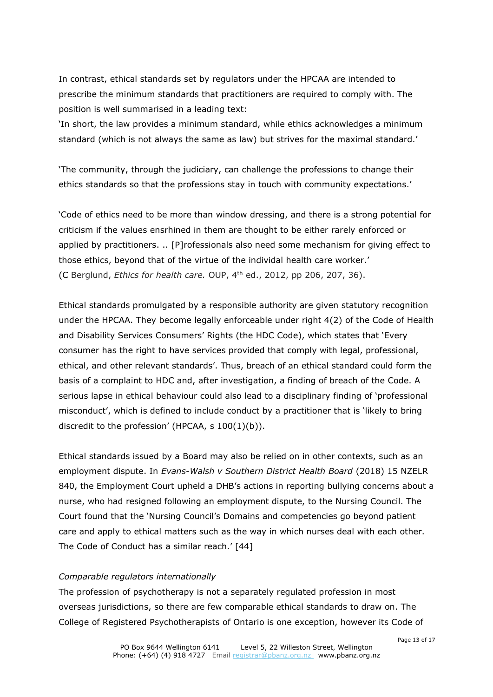In contrast, ethical standards set by regulators under the HPCAA are intended to prescribe the minimum standards that practitioners are required to comply with. The position is well summarised in a leading text:

'In short, the law provides a minimum standard, while ethics acknowledges a minimum standard (which is not always the same as law) but strives for the maximal standard.'

'The community, through the judiciary, can challenge the professions to change their ethics standards so that the professions stay in touch with community expectations.'

'Code of ethics need to be more than window dressing, and there is a strong potential for criticism if the values ensrhined in them are thought to be either rarely enforced or applied by practitioners. .. [P]rofessionals also need some mechanism for giving effect to those ethics, beyond that of the virtue of the individal health care worker.' (C Berglund, *Ethics for health care.* OUP, 4th ed., 2012, pp 206, 207, 36).

Ethical standards promulgated by a responsible authority are given statutory recognition under the HPCAA. They become legally enforceable under right 4(2) of the Code of Health and Disability Services Consumers' Rights (the HDC Code), which states that 'Every consumer has the right to have services provided that comply with legal, professional, ethical, and other relevant standards'. Thus, breach of an ethical standard could form the basis of a complaint to HDC and, after investigation, a finding of breach of the Code. A serious lapse in ethical behaviour could also lead to a disciplinary finding of 'professional misconduct', which is defined to include conduct by a practitioner that is 'likely to bring discredit to the profession' (HPCAA, s 100(1)(b)).

Ethical standards issued by a Board may also be relied on in other contexts, such as an employment dispute. In *Evans-Walsh v Southern District Health Board* (2018) 15 NZELR 840, the Employment Court upheld a DHB's actions in reporting bullying concerns about a nurse, who had resigned following an employment dispute, to the Nursing Council. The Court found that the 'Nursing Council's Domains and competencies go beyond patient care and apply to ethical matters such as the way in which nurses deal with each other. The Code of Conduct has a similar reach.' [44]

#### *Comparable regulators internationally*

The profession of psychotherapy is not a separately regulated profession in most overseas jurisdictions, so there are few comparable ethical standards to draw on. The College of Registered Psychotherapists of Ontario is one exception, however its Code of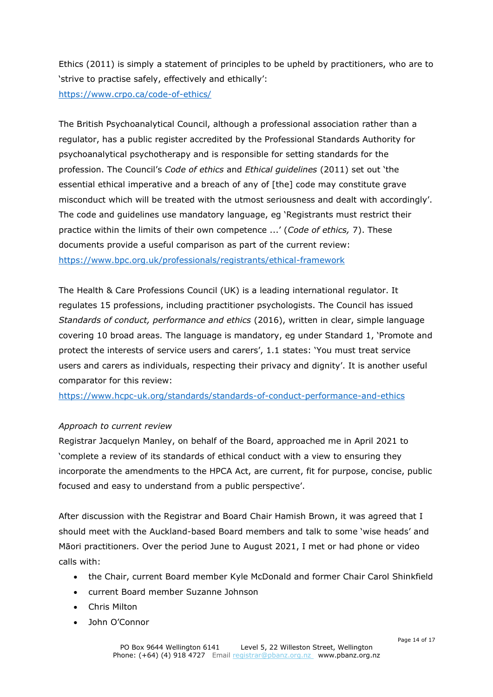Ethics (2011) is simply a statement of principles to be upheld by practitioners, who are to 'strive to practise safely, effectively and ethically':

<https://www.crpo.ca/code-of-ethics/>

The British Psychoanalytical Council, although a professional association rather than a regulator, has a public register accredited by the Professional Standards Authority for psychoanalytical psychotherapy and is responsible for setting standards for the profession. The Council's *Code of ethics* and *Ethical guidelines* (2011) set out 'the essential ethical imperative and a breach of any of [the] code may constitute grave misconduct which will be treated with the utmost seriousness and dealt with accordingly'. The code and guidelines use mandatory language, eg 'Registrants must restrict their practice within the limits of their own competence ...' (*Code of ethics,* 7). These documents provide a useful comparison as part of the current review: <https://www.bpc.org.uk/professionals/registrants/ethical-framework>

The Health & Care Professions Council (UK) is a leading international regulator. It regulates 15 professions, including practitioner psychologists. The Council has issued *Standards of conduct, performance and ethics* (2016), written in clear, simple language covering 10 broad areas*.* The language is mandatory, eg under Standard 1, 'Promote and protect the interests of service users and carers', 1.1 states: 'You must treat service users and carers as individuals, respecting their privacy and dignity'. It is another useful comparator for this review:

<https://www.hcpc-uk.org/standards/standards-of-conduct-performance-and-ethics>

#### *Approach to current review*

Registrar Jacquelyn Manley, on behalf of the Board, approached me in April 2021 to 'complete a review of its standards of ethical conduct with a view to ensuring they incorporate the amendments to the HPCA Act, are current, fit for purpose, concise, public focused and easy to understand from a public perspective'.

After discussion with the Registrar and Board Chair Hamish Brown, it was agreed that I should meet with the Auckland-based Board members and talk to some 'wise heads' and Māori practitioners. Over the period June to August 2021, I met or had phone or video calls with:

- the Chair, current Board member Kyle McDonald and former Chair Carol Shinkfield
- current Board member Suzanne Johnson
- Chris Milton
- John O'Connor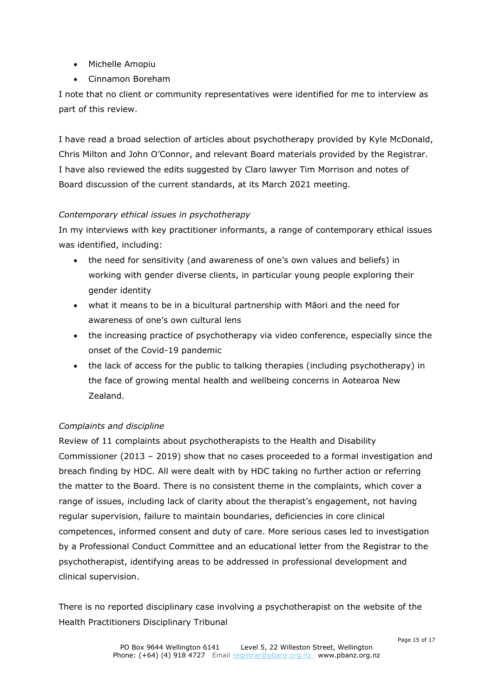- Michelle Amopiu
- Cinnamon Boreham

I note that no client or community representatives were identified for me to interview as part of this review.

I have read a broad selection of articles about psychotherapy provided by Kyle McDonald, Chris Milton and John O'Connor, and relevant Board materials provided by the Registrar. I have also reviewed the edits suggested by Claro lawyer Tim Morrison and notes of Board discussion of the current standards, at its March 2021 meeting.

#### *Contemporary ethical issues in psychotherapy*

In my interviews with key practitioner informants, a range of contemporary ethical issues was identified, including:

- the need for sensitivity (and awareness of one's own values and beliefs) in working with gender diverse clients, in particular young people exploring their gender identity
- what it means to be in a bicultural partnership with Māori and the need for awareness of one's own cultural lens
- the increasing practice of psychotherapy via video conference, especially since the onset of the Covid-19 pandemic
- the lack of access for the public to talking therapies (including psychotherapy) in the face of growing mental health and wellbeing concerns in Aotearoa New Zealand.

## *Complaints and discipline*

Review of 11 complaints about psychotherapists to the Health and Disability Commissioner (2013 – 2019) show that no cases proceeded to a formal investigation and breach finding by HDC. All were dealt with by HDC taking no further action or referring the matter to the Board. There is no consistent theme in the complaints, which cover a range of issues, including lack of clarity about the therapist's engagement, not having regular supervision, failure to maintain boundaries, deficiencies in core clinical competences, informed consent and duty of care. More serious cases led to investigation by a Professional Conduct Committee and an educational letter from the Registrar to the psychotherapist, identifying areas to be addressed in professional development and clinical supervision.

There is no reported disciplinary case involving a psychotherapist on the website of the Health Practitioners Disciplinary Tribunal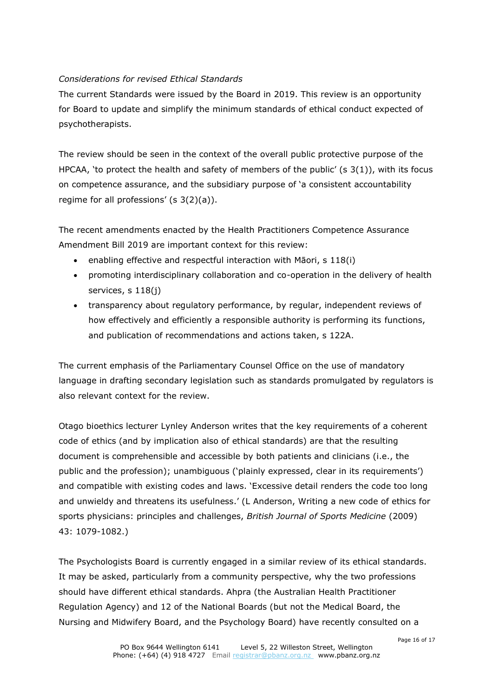#### *Considerations for revised Ethical Standards*

The current Standards were issued by the Board in 2019. This review is an opportunity for Board to update and simplify the minimum standards of ethical conduct expected of psychotherapists.

The review should be seen in the context of the overall public protective purpose of the HPCAA, 'to protect the health and safety of members of the public'  $(s \, 3(1))$ , with its focus on competence assurance, and the subsidiary purpose of 'a consistent accountability regime for all professions'  $(s \ 3(2)(a))$ .

The recent amendments enacted by the Health Practitioners Competence Assurance Amendment Bill 2019 are important context for this review:

- enabling effective and respectful interaction with Māori, s 118(i)
- promoting interdisciplinary collaboration and co-operation in the delivery of health services, s 118(i)
- transparency about regulatory performance, by regular, independent reviews of how effectively and efficiently a responsible authority is performing its functions, and publication of recommendations and actions taken, s 122A.

The current emphasis of the Parliamentary Counsel Office on the use of mandatory language in drafting secondary legislation such as standards promulgated by regulators is also relevant context for the review.

Otago bioethics lecturer Lynley Anderson writes that the key requirements of a coherent code of ethics (and by implication also of ethical standards) are that the resulting document is comprehensible and accessible by both patients and clinicians (i.e., the public and the profession); unambiguous ('plainly expressed, clear in its requirements') and compatible with existing codes and laws. 'Excessive detail renders the code too long and unwieldy and threatens its usefulness.' (L Anderson, Writing a new code of ethics for sports physicians: principles and challenges, *British Journal of Sports Medicine* (2009) 43: 1079-1082.)

The Psychologists Board is currently engaged in a similar review of its ethical standards. It may be asked, particularly from a community perspective, why the two professions should have different ethical standards. Ahpra (the Australian Health Practitioner Regulation Agency) and 12 of the National Boards (but not the Medical Board, the Nursing and Midwifery Board, and the Psychology Board) have recently consulted on a